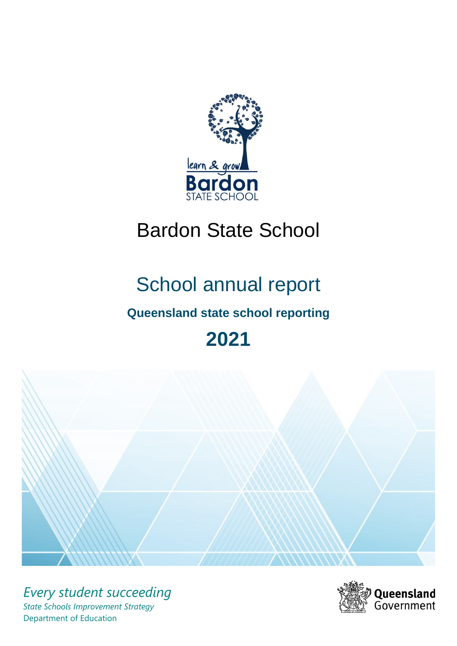

# Bardon State School

# School annual report

# **Queensland state school reporting**

# **2021**



*Every student succeeding State Schools Improvement Strategy* Department of Education

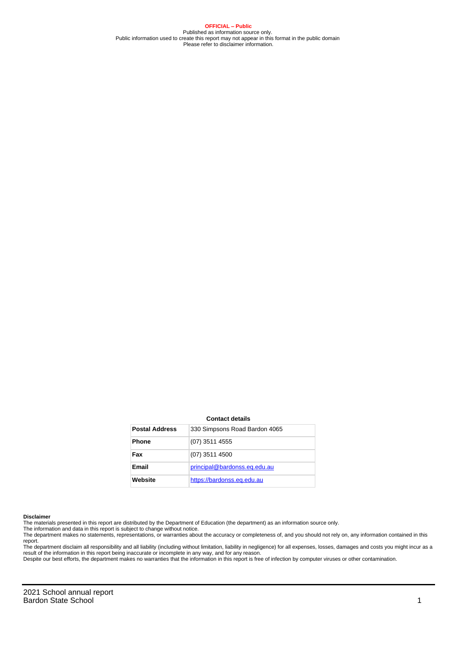**OFFICIAL – Public** Published as information source only. Public information used to create this report may not appear in this format in the public domain Please refer to disclaimer information.

#### **Contact details**

| <b>Postal Address</b> | 330 Simpsons Road Bardon 4065 |
|-----------------------|-------------------------------|
| <b>Phone</b>          | (07) 3511 4555                |
| Fax                   | $(07)$ 3511 4500              |
| Email                 | principal@bardonss.eq.edu.au  |
| Website               | https://bardonss.eq.edu.au    |

#### **Disclaimer**

The materials presented in this report are distributed by the Department of Education (the department) as an information source only.

The information and data in this report is subject to change without notice.<br>The department makes no statements, representations, or warranties about the accuracy or completeness of, and you should not rely on, any informa report.

The department disclaim all responsibility and all liability (including without limitation, liability in negligence) for all expenses, losses, damages and costs you might incur as a result of the information in this report being inaccurate or incomplete in any way, and for any reason.

Despite our best efforts, the department makes no warranties that the information in this report is free of infection by computer viruses or other contamination.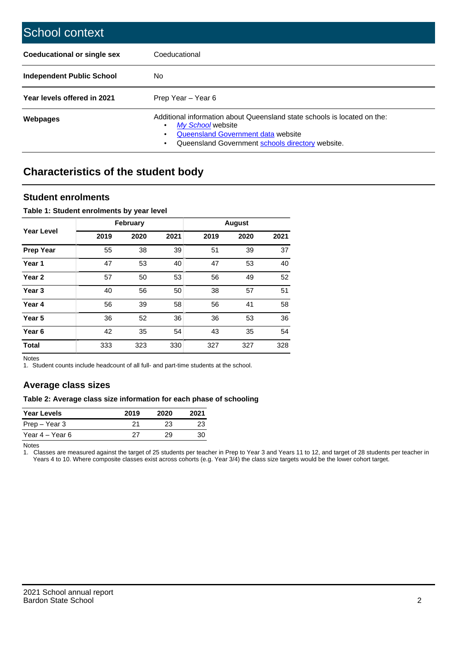| School context                   |                                                                                                                                                                                              |
|----------------------------------|----------------------------------------------------------------------------------------------------------------------------------------------------------------------------------------------|
| Coeducational or single sex      | Coeducational                                                                                                                                                                                |
| <b>Independent Public School</b> | No.                                                                                                                                                                                          |
| Year levels offered in 2021      | Prep Year - Year 6                                                                                                                                                                           |
| Webpages                         | Additional information about Queensland state schools is located on the:<br>My School website<br>Queensland Government data website<br>Queensland Government schools directory website.<br>٠ |

# **Characteristics of the student body**

### **Student enrolments**

#### **Table 1: Student enrolments by year level**

|                   |      | <b>February</b> |      |      | <b>August</b> |      |
|-------------------|------|-----------------|------|------|---------------|------|
| <b>Year Level</b> | 2019 | 2020            | 2021 | 2019 | 2020          | 2021 |
| <b>Prep Year</b>  | 55   | 38              | 39   | 51   | 39            | 37   |
| Year 1            | 47   | 53              | 40   | 47   | 53            | 40   |
| Year 2            | 57   | 50              | 53   | 56   | 49            | 52   |
| Year <sub>3</sub> | 40   | 56              | 50   | 38   | 57            | 51   |
| Year 4            | 56   | 39              | 58   | 56   | 41            | 58   |
| Year <sub>5</sub> | 36   | 52              | 36   | 36   | 53            | 36   |
| Year <sub>6</sub> | 42   | 35              | 54   | 43   | 35            | 54   |
| <b>Total</b>      | 333  | 323             | 330  | 327  | 327           | 328  |

Notes

1. Student counts include headcount of all full- and part-time students at the school.

## **Average class sizes**

#### **Table 2: Average class size information for each phase of schooling**

| <b>Year Levels</b> | 2019 | 2020 | 2021 |
|--------------------|------|------|------|
| Prep – Year 3      | 21   | 23   | 23   |
| Year 4 – Year 6    | 27   | 29   | 30   |

Notes

1. Classes are measured against the target of 25 students per teacher in Prep to Year 3 and Years 11 to 12, and target of 28 students per teacher in Years 4 to 10. Where composite classes exist across cohorts (e.g. Year 3/4) the class size targets would be the lower cohort target.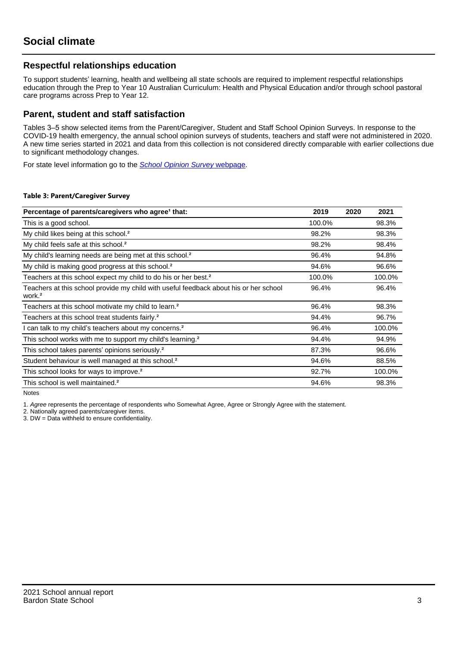## **Respectful relationships education**

To support students' learning, health and wellbeing all state schools are required to implement respectful relationships education through the Prep to Year 10 Australian Curriculum: Health and Physical Education and/or through school pastoral care programs across Prep to Year 12.

### **Parent, student and staff satisfaction**

Tables 3–5 show selected items from the Parent/Caregiver, Student and Staff School Opinion Surveys. In response to the COVID-19 health emergency, the annual school opinion surveys of students, teachers and staff were not administered in 2020. A new time series started in 2021 and data from this collection is not considered directly comparable with earlier collections due to significant methodology changes.

For state level information go to the **[School Opinion Survey](https://qed.qld.gov.au/publications/reports/statistics/schooling/schools/schoolopinionsurvey) webpage**.

#### **Table 3: Parent/Caregiver Survey**

| Percentage of parents/caregivers who agree <sup>1</sup> that:                                               | 2019   | 2020 | 2021   |
|-------------------------------------------------------------------------------------------------------------|--------|------|--------|
| This is a good school.                                                                                      | 100.0% |      | 98.3%  |
| My child likes being at this school. <sup>2</sup>                                                           | 98.2%  |      | 98.3%  |
| My child feels safe at this school. <sup>2</sup>                                                            | 98.2%  |      | 98.4%  |
| My child's learning needs are being met at this school. <sup>2</sup>                                        | 96.4%  |      | 94.8%  |
| My child is making good progress at this school. <sup>2</sup>                                               | 94.6%  |      | 96.6%  |
| Teachers at this school expect my child to do his or her best. <sup>2</sup>                                 | 100.0% |      | 100.0% |
| Teachers at this school provide my child with useful feedback about his or her school<br>work. <sup>2</sup> | 96.4%  |      | 96.4%  |
| Teachers at this school motivate my child to learn. <sup>2</sup>                                            | 96.4%  |      | 98.3%  |
| Teachers at this school treat students fairly. <sup>2</sup>                                                 | 94.4%  |      | 96.7%  |
| can talk to my child's teachers about my concerns. <sup>2</sup>                                             | 96.4%  |      | 100.0% |
| This school works with me to support my child's learning. <sup>2</sup>                                      | 94.4%  |      | 94.9%  |
| This school takes parents' opinions seriously. <sup>2</sup>                                                 | 87.3%  |      | 96.6%  |
| Student behaviour is well managed at this school. <sup>2</sup>                                              | 94.6%  |      | 88.5%  |
| This school looks for ways to improve. <sup>2</sup>                                                         | 92.7%  |      | 100.0% |
| This school is well maintained. <sup>2</sup>                                                                | 94.6%  |      | 98.3%  |

Notes

1. Agree represents the percentage of respondents who Somewhat Agree, Agree or Strongly Agree with the statement.

2. Nationally agreed parents/caregiver items.

3. DW = Data withheld to ensure confidentiality.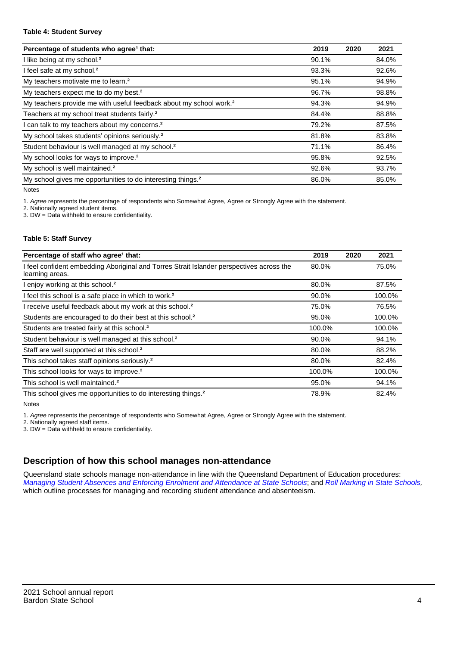#### **Table 4: Student Survey**

| Percentage of students who agree <sup>1</sup> that:                            | 2019  | 2020 | 2021  |
|--------------------------------------------------------------------------------|-------|------|-------|
| I like being at my school. <sup>2</sup>                                        | 90.1% |      | 84.0% |
| I feel safe at my school. <sup>2</sup>                                         | 93.3% |      | 92.6% |
| My teachers motivate me to learn. <sup>2</sup>                                 | 95.1% |      | 94.9% |
| My teachers expect me to do my best. <sup>2</sup>                              | 96.7% |      | 98.8% |
| My teachers provide me with useful feedback about my school work. <sup>2</sup> | 94.3% |      | 94.9% |
| Teachers at my school treat students fairly. <sup>2</sup>                      | 84.4% |      | 88.8% |
| I can talk to my teachers about my concerns. <sup>2</sup>                      | 79.2% |      | 87.5% |
| My school takes students' opinions seriously. <sup>2</sup>                     | 81.8% |      | 83.8% |
| Student behaviour is well managed at my school. <sup>2</sup>                   | 71.1% |      | 86.4% |
| My school looks for ways to improve. <sup>2</sup>                              | 95.8% |      | 92.5% |
| My school is well maintained. <sup>2</sup>                                     | 92.6% |      | 93.7% |
| My school gives me opportunities to do interesting things. <sup>2</sup>        | 86.0% |      | 85.0% |

Notes

1. Agree represents the percentage of respondents who Somewhat Agree, Agree or Strongly Agree with the statement.

2. Nationally agreed student items.

3. DW = Data withheld to ensure confidentiality.

#### **Table 5: Staff Survey**

| Percentage of staff who agree <sup>1</sup> that:                                                            | 2019   | 2020 | 2021   |
|-------------------------------------------------------------------------------------------------------------|--------|------|--------|
| I feel confident embedding Aboriginal and Torres Strait Islander perspectives across the<br>learning areas. | 80.0%  |      | 75.0%  |
| I enjoy working at this school. <sup>2</sup>                                                                | 80.0%  |      | 87.5%  |
| I feel this school is a safe place in which to work. <sup>2</sup>                                           | 90.0%  |      | 100.0% |
| I receive useful feedback about my work at this school. <sup>2</sup>                                        | 75.0%  |      | 76.5%  |
| Students are encouraged to do their best at this school. <sup>2</sup>                                       | 95.0%  |      | 100.0% |
| Students are treated fairly at this school. <sup>2</sup>                                                    | 100.0% |      | 100.0% |
| Student behaviour is well managed at this school. <sup>2</sup>                                              | 90.0%  |      | 94.1%  |
| Staff are well supported at this school. <sup>2</sup>                                                       | 80.0%  |      | 88.2%  |
| This school takes staff opinions seriously. <sup>2</sup>                                                    | 80.0%  |      | 82.4%  |
| This school looks for ways to improve. <sup>2</sup>                                                         | 100.0% |      | 100.0% |
| This school is well maintained. <sup>2</sup>                                                                | 95.0%  |      | 94.1%  |
| This school gives me opportunities to do interesting things. <sup>2</sup>                                   | 78.9%  |      | 82.4%  |

Notes

1. Agree represents the percentage of respondents who Somewhat Agree, Agree or Strongly Agree with the statement.

2. Nationally agreed staff items.

3. DW = Data withheld to ensure confidentiality.

## **Description of how this school manages non-attendance**

Queensland state schools manage non-attendance in line with the Queensland Department of Education procedures: [Managing Student Absences and Enforcing Enrolment and Attendance at State Schools](https://ppr.qed.qld.gov.au/pp/managing-student-absences-and-enforcing-enrolment-and-attendance-at-state-schools-procedure); and [Roll Marking in State Schools,](https://ppr.qed.qld.gov.au/pp/roll-marking-in-state-schools-procedure) which outline processes for managing and recording student attendance and absenteeism.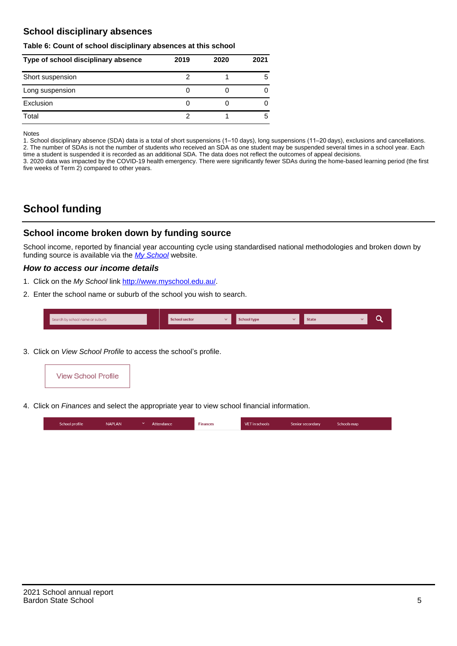## **School disciplinary absences**

#### **Table 6: Count of school disciplinary absences at this school**

| Type of school disciplinary absence | 2019 | 2020 | 2021 |
|-------------------------------------|------|------|------|
| Short suspension                    |      |      | 5    |
| Long suspension                     |      |      |      |
| Exclusion                           |      |      |      |
| Total                               |      |      | 5    |

Notes

1. School disciplinary absence (SDA) data is a total of short suspensions (1–10 days), long suspensions (11–20 days), exclusions and cancellations. 2. The number of SDAs is not the number of students who received an SDA as one student may be suspended several times in a school year. Each time a student is suspended it is recorded as an additional SDA. The data does not reflect the outcomes of appeal decisions.

3. 2020 data was impacted by the COVID-19 health emergency. There were significantly fewer SDAs during the home-based learning period (the first five weeks of Term 2) compared to other years.

# **School funding**

## **School income broken down by funding source**

School income, reported by financial year accounting cycle using standardised national methodologies and broken down by funding source is available via the  $My$  School website.

#### **How to access our income details**

- 1. Click on the My School link <http://www.myschool.edu.au/>.
- 2. Enter the school name or suburb of the school you wish to search.

|  | Search by school name or suburb |  | <b>School sector</b> |  | $\sim$ and $\sim$ represents the set of $\sim$ | <b>State</b> |  |  |  |
|--|---------------------------------|--|----------------------|--|------------------------------------------------|--------------|--|--|--|
|--|---------------------------------|--|----------------------|--|------------------------------------------------|--------------|--|--|--|

3. Click on View School Profile to access the school's profile.



4. Click on Finances and select the appropriate year to view school financial information.

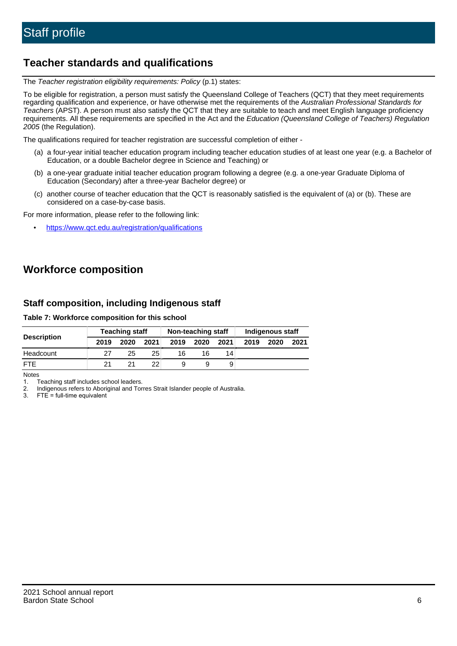# **Teacher standards and qualifications**

The Teacher registration eligibility requirements: Policy (p.1) states:

To be eligible for registration, a person must satisfy the Queensland College of Teachers (QCT) that they meet requirements regarding qualification and experience, or have otherwise met the requirements of the Australian Professional Standards for Teachers (APST). A person must also satisfy the QCT that they are suitable to teach and meet English language proficiency requirements. All these requirements are specified in the Act and the Education (Queensland College of Teachers) Regulation 2005 (the Regulation).

The qualifications required for teacher registration are successful completion of either -

- (a) a four-year initial teacher education program including teacher education studies of at least one year (e.g. a Bachelor of Education, or a double Bachelor degree in Science and Teaching) or
- (b) a one-year graduate initial teacher education program following a degree (e.g. a one-year Graduate Diploma of Education (Secondary) after a three-year Bachelor degree) or
- (c) another course of teacher education that the QCT is reasonably satisfied is the equivalent of (a) or (b). These are considered on a case-by-case basis.

For more information, please refer to the following link:

• <https://www.qct.edu.au/registration/qualifications>

# **Workforce composition**

## **Staff composition, including Indigenous staff**

#### **Table 7: Workforce composition for this school**

|                    |      | <b>Teaching staff</b> |                 |      | Non-teaching staff |      |      | Indigenous staff |      |
|--------------------|------|-----------------------|-----------------|------|--------------------|------|------|------------------|------|
| <b>Description</b> | 2019 | 2020                  | 2021            | 2019 | 2020               | 2021 | 2019 | 2020             | 2021 |
| Headcount          | 27   | 25                    | 25              | 16   | 16                 | 14   |      |                  |      |
| <b>FTE</b>         | 21   | 21                    | 22 <sub>1</sub> |      | 9                  | 9    |      |                  |      |

Notes

1. Teaching staff includes school leaders.

2. Indigenous refers to Aboriginal and Torres Strait Islander people of Australia.

3. FTE = full-time equivalent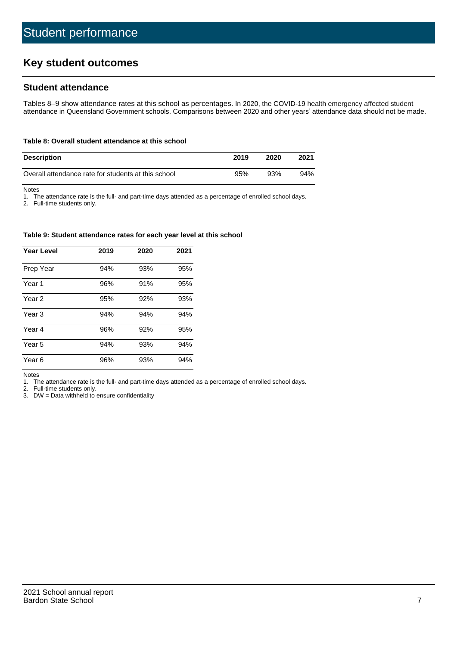# **Key student outcomes**

## **Student attendance**

Tables 8–9 show attendance rates at this school as percentages. In 2020, the COVID-19 health emergency affected student attendance in Queensland Government schools. Comparisons between 2020 and other years' attendance data should not be made.

#### **Table 8: Overall student attendance at this school**

| <b>Description</b>                                  | 2019 | 2020 | 2021 |
|-----------------------------------------------------|------|------|------|
| Overall attendance rate for students at this school | 95%  | 93%  | 94%  |

Notes

1. The attendance rate is the full- and part-time days attended as a percentage of enrolled school days.

2. Full-time students only.

#### **Table 9: Student attendance rates for each year level at this school**

| <b>Year Level</b> | 2019 | 2020 | 2021 |
|-------------------|------|------|------|
| Prep Year         | 94%  | 93%  | 95%  |
| Year 1            | 96%  | 91%  | 95%  |
| Year 2            | 95%  | 92%  | 93%  |
| Year <sub>3</sub> | 94%  | 94%  | 94%  |
| Year 4            | 96%  | 92%  | 95%  |
| Year 5            | 94%  | 93%  | 94%  |
| Year <sub>6</sub> | 96%  | 93%  | 94%  |

Notes

1. The attendance rate is the full- and part-time days attended as a percentage of enrolled school days.

2. Full-time students only.

3. DW = Data withheld to ensure confidentiality